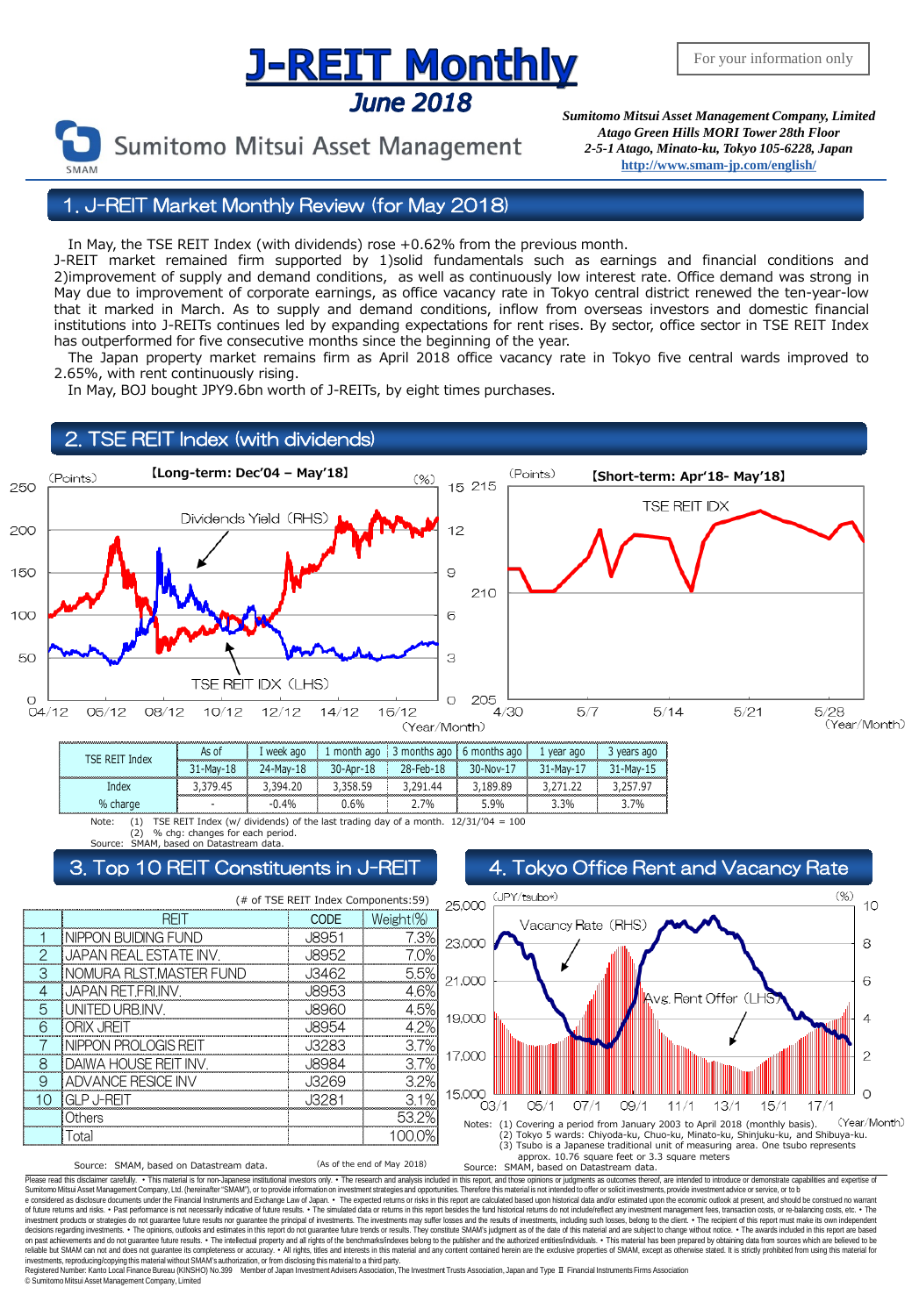# **J-REIT Monthly June 2018**



Sumitomo Mitsui Asset Management

*Sumitomo Mitsui Asset Management Company, Limited Atago Green Hills MORI Tower 28th Floor 2-5-1 Atago, Minato-ku, Tokyo 105-6228, Japan* **<http://www.smam-jp.com/english/>**

1. J-REIT Market Monthly Review (for May 2018)

In May, the TSE REIT Index (with dividends) rose +0.62% from the previous month.

J-REIT market remained firm supported by 1)solid fundamentals such as earnings and financial conditions and 2)improvement of supply and demand conditions, as well as continuously low interest rate. Office demand was strong in May due to improvement of corporate earnings, as office vacancy rate in Tokyo central district renewed the ten-year-low that it marked in March. As to supply and demand conditions, inflow from overseas investors and domestic financial institutions into J-REITs continues led by expanding expectations for rent rises. By sector, office sector in TSE REIT Index has outperformed for five consecutive months since the beginning of the year.

 The Japan property market remains firm as April 2018 office vacancy rate in Tokyo five central wards improved to 2.65%, with rent continuously rising.

In May, BOJ bought JPY9.6bn worth of J-REITs, by eight times purchases.



Note: (1) TSE REIT Index (w/ dividends) of the last trading day of a month.  $12/31/704 = 100$ % chg: changes for each period. - -0.4% 0.6% 2.7% 5.9% 3.3% 3.7% % charge

based on Datastream data

### Top 10 REIT Constituents in J-REIT | 4. Tokyo Office Rent and Vacancy Rate

|   | (# of TSE REIT Index Components: 59) |              |           |    |  |  |
|---|--------------------------------------|--------------|-----------|----|--|--|
|   |                                      | CODE         | Weight(%) | 2  |  |  |
|   | NIPPON BUIDING FUND                  | , 18951      |           | 2  |  |  |
|   | IJAPAN REAL ESTATE INV.              |              |           |    |  |  |
| 3 | NOMURA RLST,MASTER FUND              | J3462        |           | 2  |  |  |
|   | JAPAN RET.FRI.INV.                   | <b>J8953</b> |           |    |  |  |
| 5 | ED URB.INV.                          |              |           | 1! |  |  |
| ନ |                                      | . 18954      |           |    |  |  |
|   | J PROI OGIS REIT                     | , 13283      |           |    |  |  |
| 8 | I DAIWA HOUSE REIT INV.              |              |           |    |  |  |
| 9 | <b>ADVANCE RESICE INV</b>            |              |           |    |  |  |
|   |                                      | , 13281      |           | 1. |  |  |
|   | Others                               |              |           |    |  |  |
|   | Total                                |              |           |    |  |  |



Source: SMAM, based on Datastream data. (As of the end of May 2018)

Please read this disclaimer carefuly. • This material is for non-Japanese institutional investors only. • The research and analysis included in this report, and those opinions or judgments as outcomes thereof, are intended e considered as disclosure documents under the Financial Instruments and Exchange Law of Japan. • The expected returns or risks in this report are calculated based upon historical data and/or estimated upon the economic ou

decisions regarding investments. • The opinions, outlooks and estimates in this report do not guarantee fulure trends or results. They constitute SMAM's judgment as of the date of this material and are subject to change w investments, reproducing/copying this material without SMAM's authorization, or from disclosing thismaterial to a third party.

Registered Number: Kanto Local Finance Bureau (KINSHO) No.399 Member of Japan Investment Advisers Association, The Investment Trusts Association, Japan and Type Ⅱ Financial Instruments Firms Association © SumitomoMitsui Asset Management Company, Limited